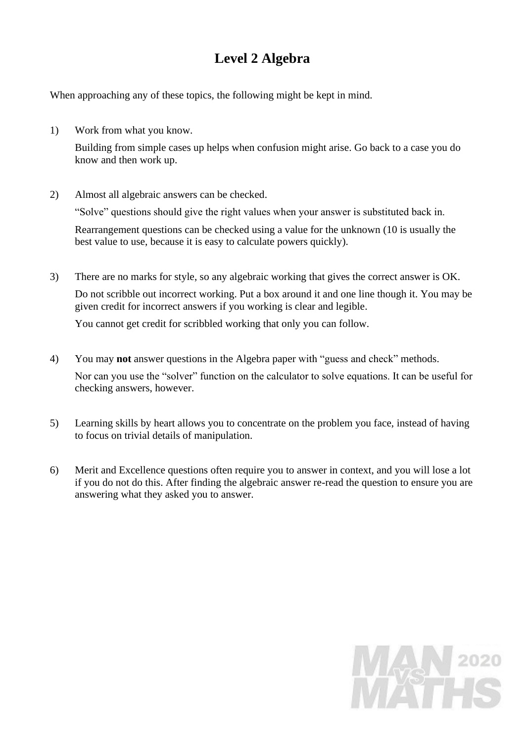# **Level 2 Algebra**

When approaching any of these topics, the following might be kept in mind.

1) Work from what you know.

Building from simple cases up helps when confusion might arise. Go back to a case you do know and then work up.

2) Almost all algebraic answers can be checked.

"Solve" questions should give the right values when your answer is substituted back in.

Rearrangement questions can be checked using a value for the unknown (10 is usually the best value to use, because it is easy to calculate powers quickly).

3) There are no marks for style, so any algebraic working that gives the correct answer is OK. Do not scribble out incorrect working. Put a box around it and one line though it. You may be given credit for incorrect answers if you working is clear and legible.

You cannot get credit for scribbled working that only you can follow.

- 4) You may **not** answer questions in the Algebra paper with "guess and check" methods. Nor can you use the "solver" function on the calculator to solve equations. It can be useful for checking answers, however.
- 5) Learning skills by heart allows you to concentrate on the problem you face, instead of having to focus on trivial details of manipulation.
- 6) Merit and Excellence questions often require you to answer in context, and you will lose a lot if you do not do this. After finding the algebraic answer re-read the question to ensure you are answering what they asked you to answer.

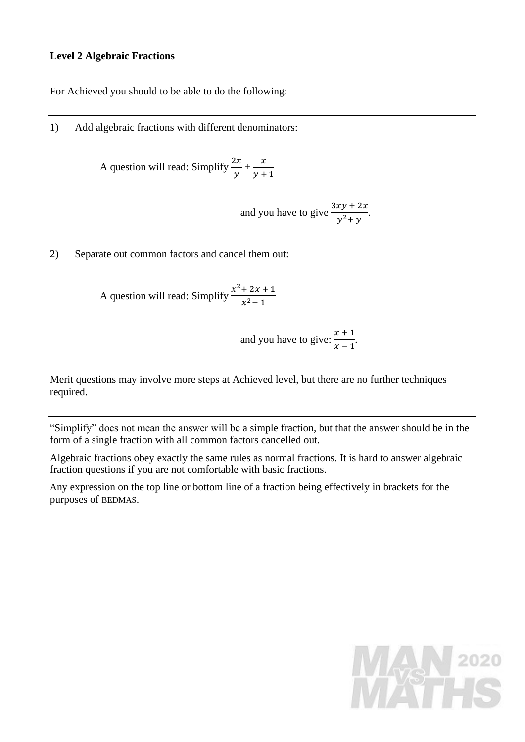## **Level 2 Algebraic Fractions**

For Achieved you should to be able to do the following:

1) Add algebraic fractions with different denominators:

A question will read: Simplify  $\frac{2x}{x}$  $\frac{2x}{y} + \frac{x}{y+1}$  $y + 1$ 

> and you have to give  $\frac{3xy + 2x}{x^2+2x}$  $\frac{xy+2x}{y^2+y}$ .

2) Separate out common factors and cancel them out:

A question will read: Simplify  $\frac{x^2+2x+1}{x^2+2x+1}$  $x^2-1$ 

and you have to give: 
$$
\frac{x+1}{x-1}
$$
.

Merit questions may involve more steps at Achieved level, but there are no further techniques required.

"Simplify" does not mean the answer will be a simple fraction, but that the answer should be in the form of a single fraction with all common factors cancelled out.

Algebraic fractions obey exactly the same rules as normal fractions. It is hard to answer algebraic fraction questions if you are not comfortable with basic fractions.

Any expression on the top line or bottom line of a fraction being effectively in brackets for the purposes of BEDMAS.

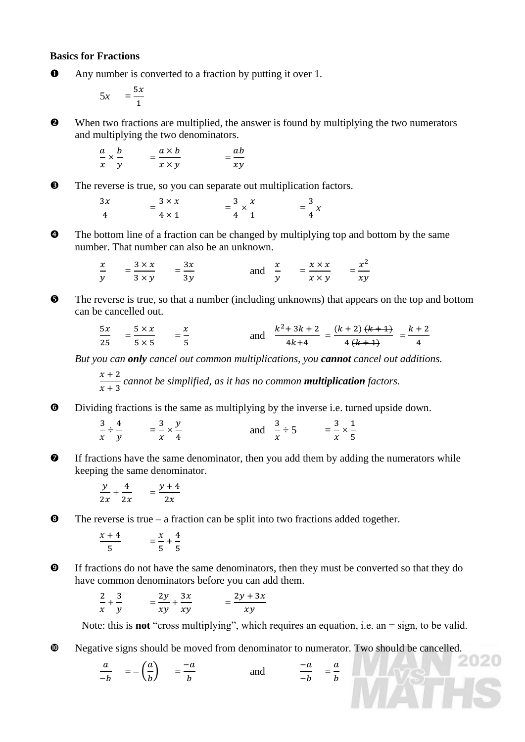## **Basics for Fractions**

Any number is converted to a fraction by putting it over 1.

$$
5x = \frac{5x}{1}
$$

 When two fractions are multiplied, the answer is found by multiplying the two numerators and multiplying the two denominators.

$$
\frac{a}{x} \times \frac{b}{y} = \frac{a \times b}{x \times y} = \frac{ab}{xy}
$$

 $\Theta$  The reverse is true, so you can separate out multiplication factors.

 $3x$  $\frac{3x}{4}$  =  $\frac{3 \times x}{4 \times 1}$  $\frac{3 \times x}{4 \times 1} = \frac{3}{4}$  $\frac{3}{4} \times \frac{x}{1}$  $\frac{x}{1}$  =  $\frac{3}{4}$  $\frac{3}{4}x$ 

 $\bullet$  The bottom line of a fraction can be changed by multiplying top and bottom by the same number. That number can also be an unknown.

$$
\frac{x}{y} = \frac{3 \times x}{3 \times y} = \frac{3x}{3y} \quad \text{and} \quad \frac{x}{y} = \frac{x \times x}{x \times y} = \frac{x^2}{xy}
$$

 $\bullet$  The reverse is true, so that a number (including unknowns) that appears on the top and bottom can be cancelled out.

$$
\frac{5x}{25} = \frac{5 \times x}{5 \times 5} = \frac{x}{5}
$$
 and 
$$
\frac{k^2 + 3k + 2}{4k + 4} = \frac{(k+2)(k+4)}{4(k+4)} = \frac{k+2}{4}
$$

*But you can only cancel out common multiplications, you cannot cancel out additions.*

 $x + 2$  $\frac{x+2}{x+3}$  cannot be simplified, as it has no common **multiplication** factors.

Dividing fractions is the same as multiplying by the inverse i.e. turned upside down.

3  $\frac{3}{x} \div \frac{4}{y}$  $\frac{4}{y}$  =  $\frac{3}{x}$  $\frac{3}{x} \times \frac{y}{4}$  $\frac{y}{4}$  and  $\frac{3}{x}$  $\frac{3}{x} \div 5$  =  $\frac{3}{x}$  $\frac{3}{x} \times \frac{1}{5}$ 5

 $\bullet$  If fractions have the same denominator, then you add them by adding the numerators while keeping the same denominator.

$$
\frac{y}{2x} + \frac{4}{2x} = \frac{y+4}{2x}
$$

 $\bullet$  The reverse is true – a fraction can be split into two fractions added together.

 $x + 4$  $\frac{+4}{5}$   $=\frac{x}{5}$  $\frac{x}{5} + \frac{4}{5}$ 5

 If fractions do not have the same denominators, then they must be converted so that they do have common denominators before you can add them.

$$
\frac{2}{x} + \frac{3}{y} = \frac{2y}{xy} + \frac{3x}{xy} = \frac{2y + 3x}{xy}
$$

Note: this is **not** "cross multiplying", which requires an equation, i.e. an = sign, to be valid.

 $\boldsymbol{a}$  $\boldsymbol{b}$ 

Negative signs should be moved from denominator to numerator. Two should be cancelled.

$$
\frac{a}{-b} = -\left(\frac{a}{b}\right) = \frac{-a}{b} \qquad \text{and} \qquad \frac{-a}{-b} =
$$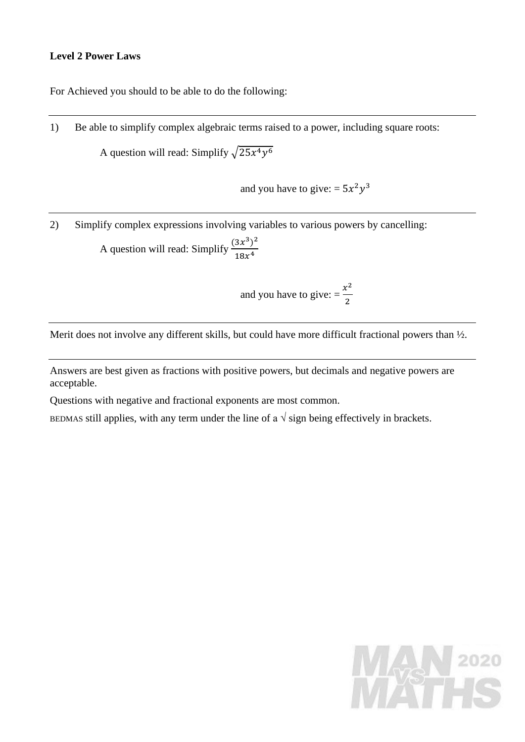# **Level 2 Power Laws**

For Achieved you should to be able to do the following:

1) Be able to simplify complex algebraic terms raised to a power, including square roots:

A question will read: Simplify  $\sqrt{25x^4y^6}$ 

and you have to give: =  $5x^2y^3$ 

2) Simplify complex expressions involving variables to various powers by cancelling: A question will read: Simplify  $\frac{(3x^3)^2}{40x^4}$  $18x^4$ 

> and you have to give:  $=$   $\frac{x^2}{2}$ 2

Merit does not involve any different skills, but could have more difficult fractional powers than  $\frac{1}{2}$ .

Answers are best given as fractions with positive powers, but decimals and negative powers are acceptable.

Questions with negative and fractional exponents are most common.

BEDMAS still applies, with any term under the line of a  $\sqrt{\text{sign}}$  being effectively in brackets.

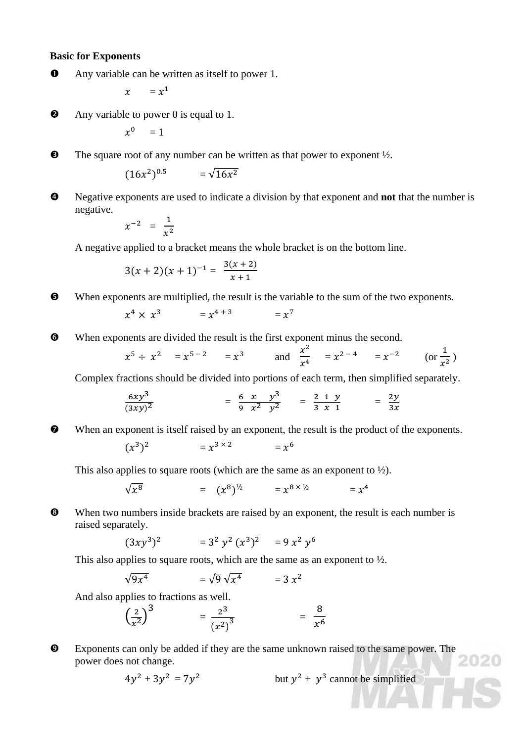## **Basic for Exponents**

Any variable can be written as itself to power 1.

 $x = x^1$ 

**2** Any variable to power 0 is equal to 1.

$$
x^0\quad = 1
$$

 $\bullet$  The square root of any number can be written as that power to exponent  $\frac{1}{2}$ .

$$
(16x^2)^{0.5} = \sqrt{16x^2}
$$

 Negative exponents are used to indicate a division by that exponent and **not** that the number is negative.

$$
x^{-2} = \frac{1}{x^2}
$$

A negative applied to a bracket means the whole bracket is on the bottom line.

$$
3(x + 2)(x + 1)^{-1} = \frac{3(x + 2)}{x + 1}
$$

When exponents are multiplied, the result is the variable to the sum of the two exponents.

$$
x^4 \times x^3 = x^{4+3} = x^7
$$

When exponents are divided the result is the first exponent minus the second.

$$
x^5 \div x^2 = x^{5-2} = x^3
$$
 and  $\frac{x^2}{x^4} = x^{2-4} = x^{-2}$  (or  $\frac{1}{x^2}$ )

Complex fractions should be divided into portions of each term, then simplified separately.

$$
\frac{6xy^3}{(3xy)^2} = \frac{6 x y^3}{9 x^2 y^2} = \frac{2 1 y}{3 x 1} = \frac{2y}{3x}
$$

When an exponent is itself raised by an exponent, the result is the product of the exponents.  
\n
$$
(x^3)^2 = x^{3 \times 2} = x^6
$$

This also applies to square roots (which are the same as an exponent to  $\frac{1}{2}$ ).

$$
\sqrt{x^8} = (x^8)^{\frac{1}{2}} = x^{8 \times \frac{1}{2}} = x^4
$$

When two numbers inside brackets are raised by an exponent, the result is each number is raised separately.

$$
(3xy^3)^2 = 3^2 y^2 (x^3)^2 = 9 x^2 y^6
$$

This also applies to square roots, which are the same as an exponent to  $\frac{1}{2}$ .

$$
\sqrt{9x^4} = \sqrt{9}\sqrt{x^4} = 3x^2
$$

And also applies to fractions as well.

$$
\left(\frac{2}{x^2}\right)^3 = \frac{2^3}{(x^2)^3} = \frac{8}{x^6}
$$

 Exponents can only be added if they are the same unknown raised to the same power. The power does not change.

$$
4y^2 + 3y^2 = 7y^2
$$
 but  $y^2 + y^3$  cannot be simplified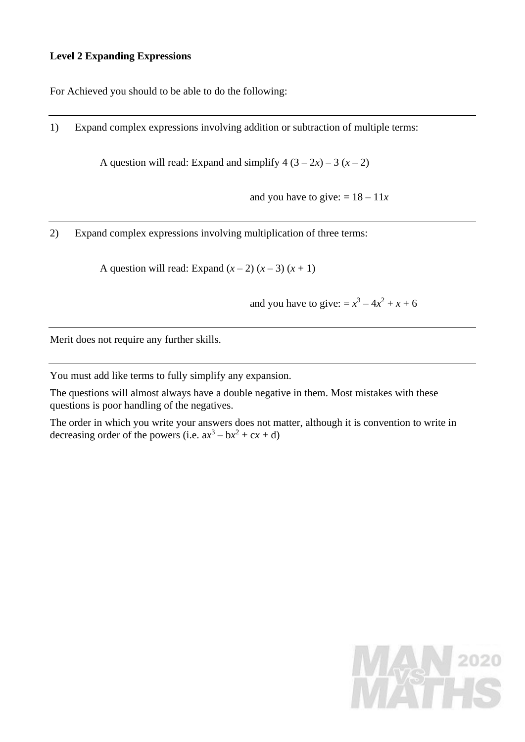# **Level 2 Expanding Expressions**

For Achieved you should to be able to do the following:

1) Expand complex expressions involving addition or subtraction of multiple terms:

A question will read: Expand and simplify  $4(3-2x) - 3(x-2)$ 

and you have to give:  $= 18 - 11x$ 

2) Expand complex expressions involving multiplication of three terms:

A question will read: Expand  $(x-2)(x-3)(x+1)$ 

and you have to give: =  $x^3 - 4x^2 + x + 6$ 

Merit does not require any further skills.

You must add like terms to fully simplify any expansion.

The questions will almost always have a double negative in them. Most mistakes with these questions is poor handling of the negatives.

The order in which you write your answers does not matter, although it is convention to write in decreasing order of the powers (i.e.  $ax^3 - bx^2 + cx + d$ )

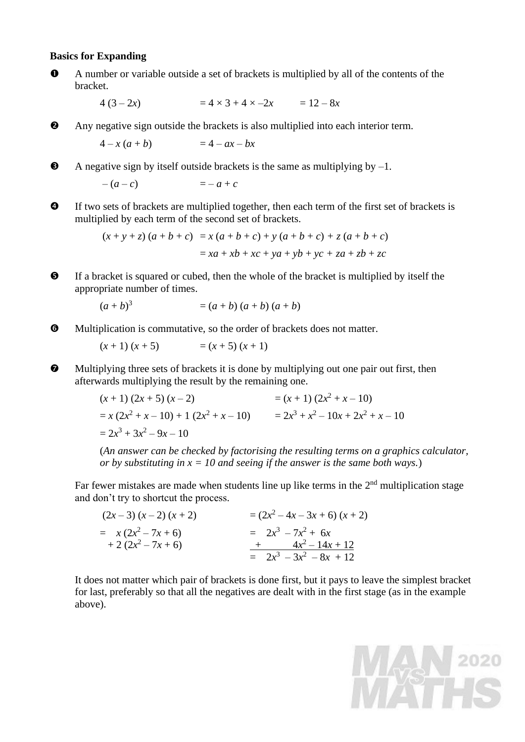#### **Basics for Expanding**

- A number or variable outside a set of brackets is multiplied by all of the contents of the bracket.
	- $4(3-2x) = 4 \times 3 + 4 \times -2x = 12 8x$
- Any negative sign outside the brackets is also multiplied into each interior term.

$$
4-x(a+b) = 4-ax-bx
$$

 $\bullet$  A negative sign by itself outside brackets is the same as multiplying by  $-1$ .

 $-(a-c) = -a+c$ 

 If two sets of brackets are multiplied together, then each term of the first set of brackets is multiplied by each term of the second set of brackets.

$$
(x + y + z) (a + b + c) = x (a + b + c) + y (a + b + c) + z (a + b + c)
$$
  
= xa + xb + xc + ya + yb + yc + za + zb + zc

 If a bracket is squared or cubed, then the whole of the bracket is multiplied by itself the appropriate number of times.

$$
(a + b)^3 = (a + b) (a + b) (a + b)
$$

Multiplication is commutative, so the order of brackets does not matter.

$$
(x + 1) (x + 5)
$$
 =  $(x + 5) (x + 1)$ 

 Multiplying three sets of brackets it is done by multiplying out one pair out first, then afterwards multiplying the result by the remaining one.

$$
(x + 1) (2x + 5) (x - 2) = (x + 1) (2x2 + x - 10)
$$
  
= x (2x<sup>2</sup> + x - 10) + 1 (2x<sup>2</sup> + x - 10) = 2x<sup>3</sup> + x<sup>2</sup> - 10x + 2x<sup>2</sup> + x - 10  
= 2x<sup>3</sup> + 3x<sup>2</sup> - 9x - 10

(*An answer can be checked by factorising the resulting terms on a graphics calculator, or by substituting in x = 10 and seeing if the answer is the same both ways.*)

Far fewer mistakes are made when students line up like terms in the  $2<sup>nd</sup>$  multiplication stage and don't try to shortcut the process.

| $(2x-3)(x-2)(x+2)$   | $=(2x^2-4x-3x+6)(x+2)$    |
|----------------------|---------------------------|
| $= x(2x^2 - 7x + 6)$ | $= 2x^3 - 7x^2 + 6x$      |
| $+2(2x^2-7x+6)$      | $+$ $4x^2-14x+12$         |
|                      | $= 2x^3 - 3x^2 - 8x + 12$ |

It does not matter which pair of brackets is done first, but it pays to leave the simplest bracket for last, preferably so that all the negatives are dealt with in the first stage (as in the example above).

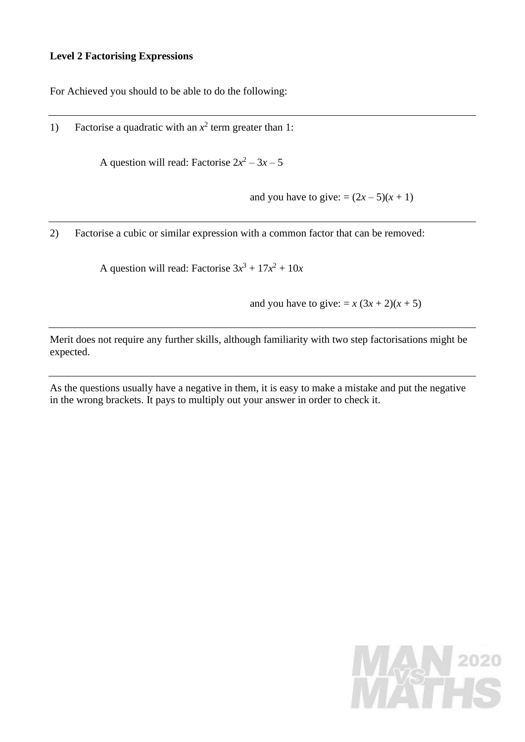## **Level 2 Factorising Expressions**

For Achieved you should to be able to do the following:

1) Factorise a quadratic with an  $x^2$  term greater than 1:

A question will read: Factorise  $2x^2 - 3x - 5$ 

and you have to give:  $=(2x-5)(x+1)$ 

2) Factorise a cubic or similar expression with a common factor that can be removed:

A question will read: Factorise  $3x^3 + 17x^2 + 10x$ 

and you have to give:  $= x (3x + 2)(x + 5)$ 

Merit does not require any further skills, although familiarity with two step factorisations might be expected.

As the questions usually have a negative in them, it is easy to make a mistake and put the negative in the wrong brackets. It pays to multiply out your answer in order to check it.

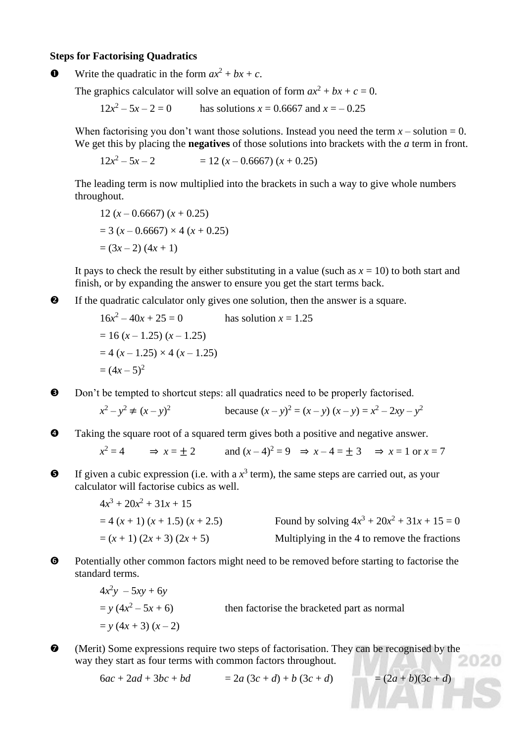## **Steps for Factorising Quadratics**

Write the quadratic in the form  $ax^2 + bx + c$ .

The graphics calculator will solve an equation of form  $ax^2 + bx + c = 0$ .

 $12x^2$ has solutions  $x = 0.6667$  and  $x = -0.25$ 

When factorising you don't want those solutions. Instead you need the term  $x -$  solution = 0. We get this by placing the **negatives** of those solutions into brackets with the *a* term in front.

 $12x^2$  $= 12 (x - 0.6667) (x + 0.25)$ 

The leading term is now multiplied into the brackets in such a way to give whole numbers throughout.

12 
$$
(x - 0.6667) (x + 0.25)
$$
  
= 3  $(x - 0.6667) \times 4 (x + 0.25)$   
=  $(3x - 2) (4x + 1)$ 

It pays to check the result by either substituting in a value (such as  $x = 10$ ) to both start and finish, or by expanding the answer to ensure you get the start terms back.

If the quadratic calculator only gives one solution, then the answer is a square.

$$
16x2-40x + 25 = 0
$$
 has solution  $x = 1.25$   
= 16 (x – 1.25) (x – 1.25)  
= 4 (x – 1.25) × 4 (x – 1.25)  
= (4x – 5)<sup>2</sup>

 $\Theta$  Don't be tempted to shortcut steps: all quadratics need to be properly factorised.

$$
x^{2} - y^{2} \neq (x - y)^{2}
$$
 because  $(x - y)^{2} = (x - y)(x - y) = x^{2} - 2xy - y^{2}$ 

Taking the square root of a squared term gives both a positive and negative answer.

 $x^2 = 4$   $\implies x = \pm 2$  and  $(x - 4)^2 = 9$   $\implies x - 4 = \pm 3$   $\implies x = 1$  or  $x = 7$ 

 $\bullet$  If given a cubic expression (i.e. with a  $x^3$  term), the same steps are carried out, as your calculator will factorise cubics as well.

$$
4x3 + 20x2 + 31x + 15
$$
  
= 4 (x + 1) (x + 1.5) (x + 2.5)  
= (x + 1) (2x + 3) (2x + 5)  
Multiplying in the 4 to remove the fractions

 $\Theta$  Potentially other common factors might need to be removed before starting to factorise the standard terms.

> $4x^2y - 5xy + 6y$  $= y (4x^2)$ then factorise the bracketed part as normal  $= y (4x + 3) (x - 2)$

 (Merit) Some expressions require two steps of factorisation. They can be recognised by the way they start as four terms with common factors throughout.

 $6ac + 2ad + 3bc + bd$  =  $2a(3c + d) + b(3c + d)$  =  $(2a + b)(3c + d)$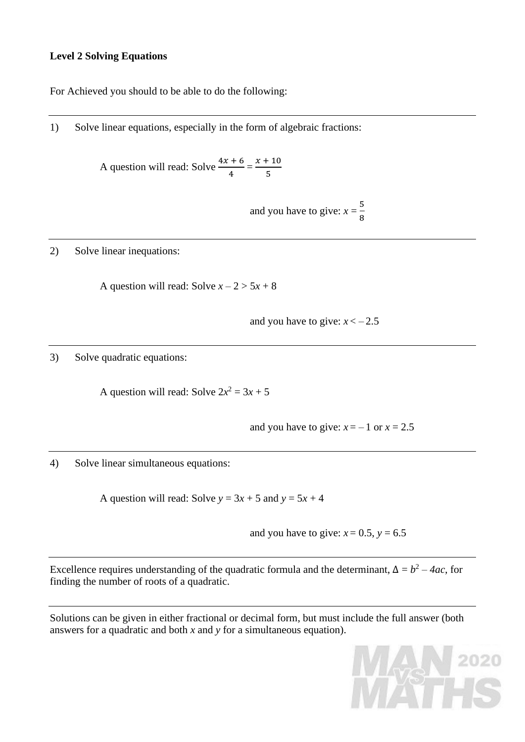# **Level 2 Solving Equations**

For Achieved you should to be able to do the following:

1) Solve linear equations, especially in the form of algebraic fractions:

A question will read: Solve  $\frac{4x + 6}{1}$  $\frac{+6}{4} = \frac{x+10}{5}$ 5

> and you have to give:  $x = \frac{5}{8}$ 8

2) Solve linear inequations:

A question will read: Solve  $x - 2 > 5x + 8$ 

and you have to give:  $x < -2.5$ 

3) Solve quadratic equations:

A question will read: Solve  $2x^2 = 3x + 5$ 

and you have to give:  $x = -1$  or  $x = 2.5$ 

4) Solve linear simultaneous equations:

A question will read: Solve  $y = 3x + 5$  and  $y = 5x + 4$ 

and you have to give:  $x = 0.5$ ,  $y = 6.5$ 

Excellence requires understanding of the quadratic formula and the determinant,  $\Delta = b^2 - 4ac$ , for finding the number of roots of a quadratic.

Solutions can be given in either fractional or decimal form, but must include the full answer (both answers for a quadratic and both *x* and *y* for a simultaneous equation).

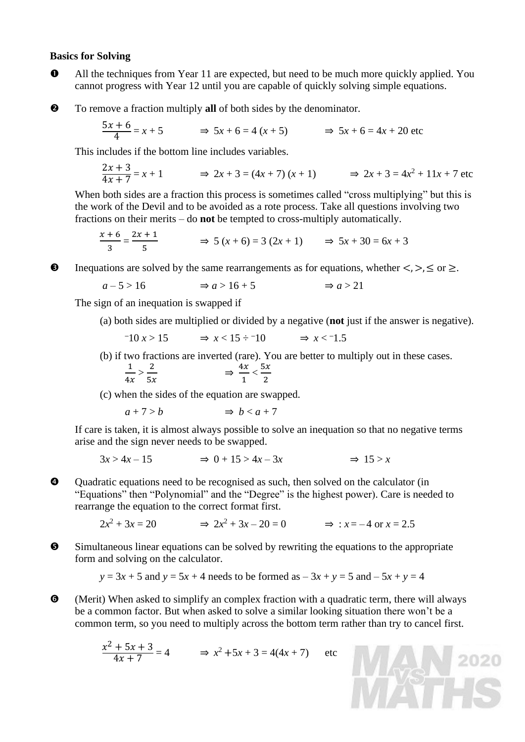#### **Basics for Solving**

- All the techniques from Year 11 are expected, but need to be much more quickly applied. You cannot progress with Year 12 until you are capable of quickly solving simple equations.
- To remove a fraction multiply **all** of both sides by the denominator.

$$
\frac{5x+6}{4} = x+5 \qquad \Rightarrow 5x+6 = 4(x+5) \qquad \Rightarrow 5x+6 = 4x+20 \text{ etc}
$$

This includes if the bottom line includes variables.

$$
\frac{2x+3}{4x+7} = x+1 \qquad \Rightarrow 2x+3 = (4x+7)(x+1) \qquad \Rightarrow 2x+3 = 4x^2+11x+7 \text{ etc}
$$

When both sides are a fraction this process is sometimes called "cross multiplying" but this is the work of the Devil and to be avoided as a rote process. Take all questions involving two fractions on their merits – do **not** be tempted to cross-multiply automatically.

$$
\frac{x+6}{3} = \frac{2x+1}{5} \implies 5(x+6) = 3(2x+1) \implies 5x+30 = 6x+3
$$

 $\bullet$  Inequations are solved by the same rearrangements as for equations, whether  $\lt$ ,  $\gt$ ,  $\leq$  or  $\geq$ .

$$
a-5>16 \qquad \Rightarrow a>16+5 \qquad \Rightarrow a>21
$$

The sign of an inequation is swapped if

(a) both sides are multiplied or divided by a negative (**not** just if the answer is negative).

$$
-10 x > 15 \qquad \Rightarrow x < 15 \div 10 \qquad \Rightarrow x < 1.5
$$

(b) if two fractions are inverted (rare). You are better to multiply out in these cases.

$$
\frac{1}{4x} > \frac{2}{5x} \qquad \qquad \Rightarrow \frac{4x}{1} < \frac{5x}{2}
$$

(c) when the sides of the equation are swapped.

$$
a+7>b \qquad \Rightarrow b
$$

If care is taken, it is almost always possible to solve an inequation so that no negative terms arise and the sign never needs to be swapped.

$$
3x > 4x - 15 \qquad \Rightarrow 0 + 15 > 4x - 3x \qquad \Rightarrow 15 > x
$$

 Quadratic equations need to be recognised as such, then solved on the calculator (in "Equations" then "Polynomial" and the "Degree" is the highest power). Care is needed to rearrange the equation to the correct format first.

> $2x^2 + 3x = 20$   $\Rightarrow 2x$  $\Rightarrow 2x^2 + 3x - 20 = 0$   $\Rightarrow x = -4 \text{ or } x = 2.5$

 Simultaneous linear equations can be solved by rewriting the equations to the appropriate form and solving on the calculator.

$$
y = 3x + 5
$$
 and  $y = 5x + 4$  needs to be formed as  $-3x + y = 5$  and  $-5x + y = 4$ 

 (Merit) When asked to simplify an complex fraction with a quadratic term, there will always be a common factor. But when asked to solve a similar looking situation there won't be a common term, so you need to multiply across the bottom term rather than try to cancel first.

WAN 2020

$$
\frac{x^2 + 5x + 3}{4x + 7} = 4 \qquad \Rightarrow x^2 + 5x + 3 = 4(4x + 7) \qquad \text{etc}
$$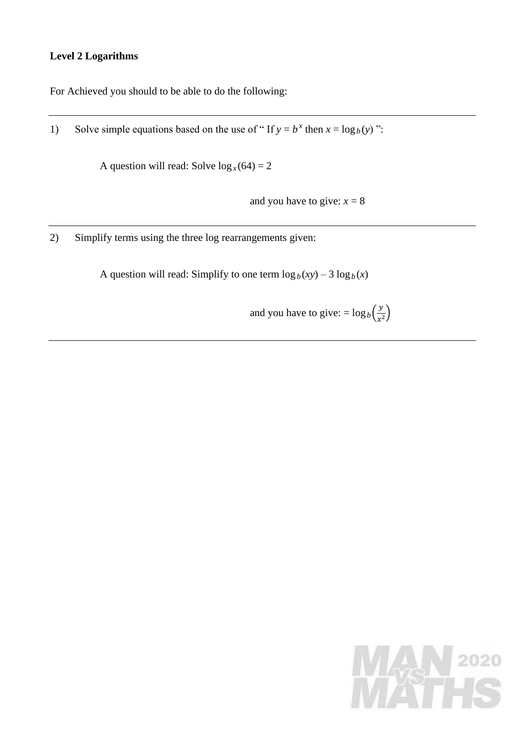# **Level 2 Logarithms**

For Achieved you should to be able to do the following:

1) Solve simple equations based on the use of " If  $y = b^x$  then  $x = \log_b(y)$ ":

A question will read: Solve  $\log_x(64) = 2$ 

and you have to give:  $x = 8$ 

2) Simplify terms using the three log rearrangements given:

A question will read: Simplify to one term  $\log_b(xy) - 3 \log_b(x)$ 

and you have to give:  $= \log_b(\frac{y}{x^2})$  $\frac{y}{x^2}$ 

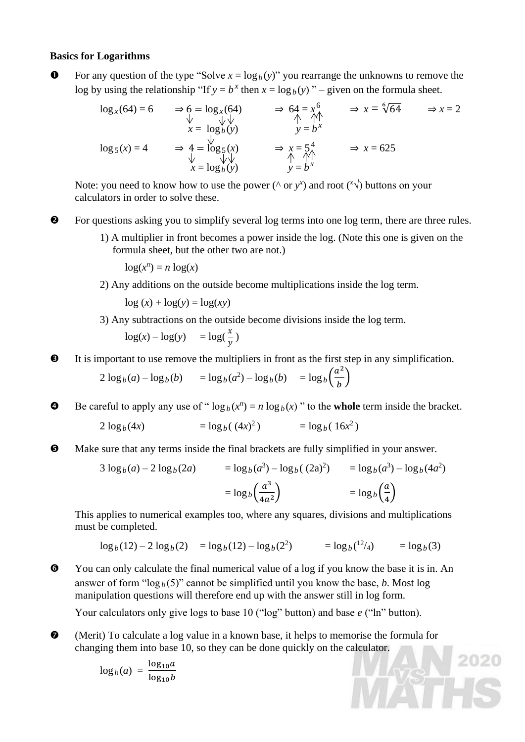## **Basics for Logarithms**

**O** For any question of the type "Solve  $x = log_b(y)$ " you rearrange the unknowns to remove the log by using the relationship "If  $y = b^x$  then  $x = \log_b(y)$ " – given on the formula sheet.

$$
\log_{x}(64) = 6 \qquad \Rightarrow \begin{array}{lcl}\n6 & = & \log_{x}(64) \\
\downarrow & & \downarrow \downarrow \\
x = & \log_{b}(y)\n\end{array}\n\qquad \Rightarrow \begin{array}{lcl}\n64 = x^{6} \\
\uparrow & \uparrow \uparrow \\
y = b^{x}\n\end{array}\n\qquad \Rightarrow x = \sqrt[6]{64} \qquad \Rightarrow x = 2
$$
\n
$$
\begin{array}{lcl}\n\log_{5}(x) & \downarrow & \downarrow \\
x = & \log_{b}(y)\n\end{array}\n\qquad \Rightarrow \begin{array}{lcl}\nx = \frac{5}{4} \\
\uparrow & \uparrow \uparrow \\
y = b^{x}\n\end{array}\n\qquad \Rightarrow x = 625
$$

Note: you need to know how to use the power ( $\wedge$  or  $y^x$ ) and root ( $\sqrt[x]{\vee}$ ) buttons on your calculators in order to solve these.

 $\bullet$  For questions asking you to simplify several log terms into one log term, there are three rules.

1) A multiplier in front becomes a power inside the log. (Note this one is given on the formula sheet, but the other two are not.)

 $log(x^n) = n log(x)$ 

2) Any additions on the outside become multiplications inside the log term.

 $\log(x) + \log(y) = \log(xy)$ 

3) Any subtractions on the outside become divisions inside the log term.

$$
\log(x) - \log(y) = \log(\frac{x}{y})
$$

It is important to use remove the multipliers in front as the first step in any simplification.

$$
2\log_b(a) - \log_b(b) = \log_b(a^2) - \log_b(b) = \log_b\left(\frac{a^2}{b}\right)
$$

**9** Be careful to apply any use of " $\log_b(x^n) = n \log_b(x)$ " to the **whole** term inside the bracket.

$$
2\log_b(4x) = \log_b((4x)^2) = \log_b(16x^2)
$$

Make sure that any terms inside the final brackets are fully simplified in your answer.

$$
3 \log_b(a) - 2 \log_b(2a) = \log_b(a^3) - \log_b((2a)^2) = \log_b(a^3) - \log_b(4a^2)
$$
  
=  $\log_b\left(\frac{a^3}{4a^2}\right) = \log_b\left(\frac{a}{4}\right)$ 

This applies to numerical examples too, where any squares, divisions and multiplications must be completed.

 $\log_b(12) - 2 \log_b(2) = \log_b(12) - \log_b(2^2) = \log_b(2)$  $=$ log<sub>b</sub> $(3)$ 

2020

 You can only calculate the final numerical value of a log if you know the base it is in. An answer of form " $\log_b(5)$ " cannot be simplified until you know the base, *b*. Most log manipulation questions will therefore end up with the answer still in log form.

Your calculators only give logs to base 10 ("log" button) and base *e* ("ln" button).

 (Merit) To calculate a log value in a known base, it helps to memorise the formula for changing them into base 10, so they can be done quickly on the calculator.

$$
\log_b(a) = \frac{\log_{10}a}{\log_{10}b}
$$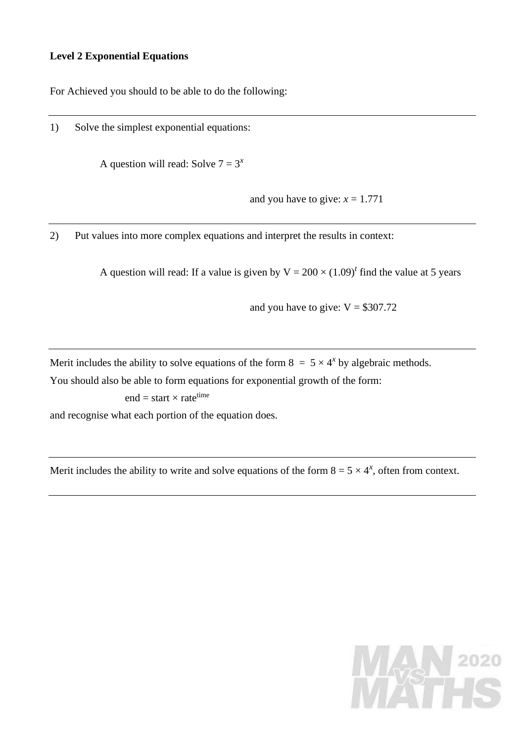## **Level 2 Exponential Equations**

For Achieved you should to be able to do the following:

1) Solve the simplest exponential equations:

A question will read: Solve  $7 = 3^x$ 

and you have to give:  $x = 1.771$ 

2) Put values into more complex equations and interpret the results in context:

A question will read: If a value is given by  $V = 200 \times (1.09)^t$  find the value at 5 years

and you have to give:  $V = $307.72$ 

Merit includes the ability to solve equations of the form  $8 = 5 \times 4^{x}$  by algebraic methods.

You should also be able to form equations for exponential growth of the form:

 $end = start \times rate^{time}$ 

and recognise what each portion of the equation does.

Merit includes the ability to write and solve equations of the form  $8 = 5 \times 4^{x}$ , often from context.

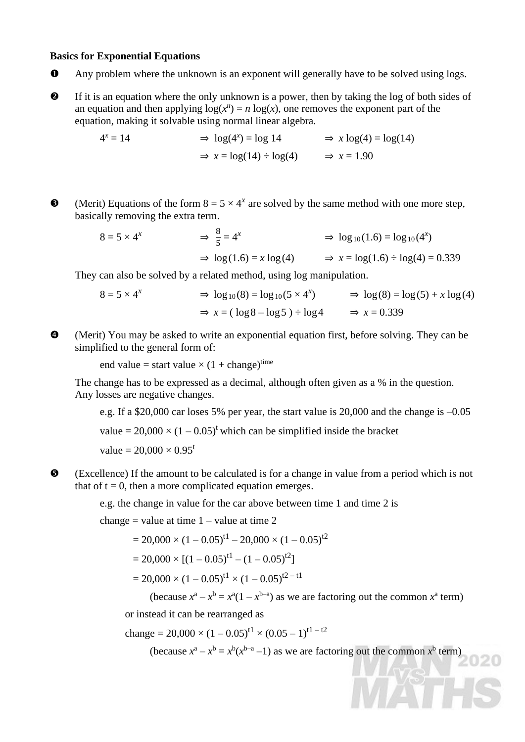#### **Basics for Exponential Equations**

- Any problem where the unknown is an exponent will generally have to be solved using logs.
- If it is an equation where the only unknown is a power, then by taking the log of both sides of an equation and then applying  $log(x^n) = n log(x)$ , one removes the exponent part of the equation, making it solvable using normal linear algebra.

$$
4x = 14 \Rightarrow \log(4x) = \log 14 \Rightarrow x \log(4) = \log(14)
$$
  

$$
\Rightarrow x = \log(14) \div \log(4) \Rightarrow x = 1.90
$$

 $\Theta$  (Merit) Equations of the form  $8 = 5 \times 4^x$  are solved by the same method with one more step, basically removing the extra term.

> $8 = 5 \times 4^x$ 8 5  $= 4^x$   $\Rightarrow \log_{10}(1.6) = \log_{10}(4^x)$  $\Rightarrow$  log(1.6) = *x* log(4)  $\Rightarrow$  *x* = log(1.6)  $\div$  log(4) = 0.339

They can also be solved by a related method, using log manipulation.

$$
8 = 5 \times 4^x \qquad \Rightarrow \log_{10}(8) = \log_{10}(5 \times 4^x) \qquad \Rightarrow \log(8) = \log(5) + x \log(4)
$$
  

$$
\Rightarrow x = (\log 8 - \log 5) \div \log 4 \qquad \Rightarrow x = 0.339
$$

 (Merit) You may be asked to write an exponential equation first, before solving. They can be simplified to the general form of:

end value = start value  $\times$  (1 + change)<sup>time</sup>

The change has to be expressed as a decimal, although often given as a % in the question. Any losses are negative changes.

e.g. If a \$20,000 car loses 5% per year, the start value is 20,000 and the change is –0.05 value =  $20,000 \times (1 - 0.05)^t$  which can be simplified inside the bracket value =  $20,000 \times 0.95^t$ 

 (Excellence) If the amount to be calculated is for a change in value from a period which is not that of  $t = 0$ , then a more complicated equation emerges.

e.g. the change in value for the car above between time 1 and time 2 is

change = value at time  $1 -$ value at time 2

 $= 20,000 \times (1 - 0.05)^{t} - 20,000 \times (1 - 0.05)^{t}$ 

$$
= 20,000 \times [(1 - 0.05)^{t1} - (1 - 0.05)^{t2}]
$$

 $= 20,000 \times (1 - 0.05)^{t} \times (1 - 0.05)^{t^2 - t}$ 

(because  $x^a - x^b = x^a(1 - x^{b-a})$  as we are factoring out the common  $x^a$  term)

or instead it can be rearranged as

change = 
$$
20,000 \times (1 - 0.05)^{t1} \times (0.05 - 1)^{t1 - t2}
$$

(because  $x^a - x^b = x^b(x^{b-a}-1)$  as we are factoring out the common  $x^b$  term)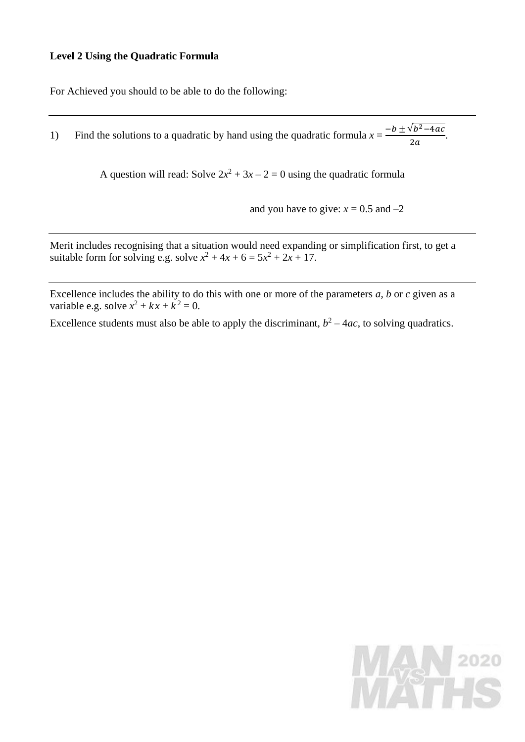## **Level 2 Using the Quadratic Formula**

For Achieved you should to be able to do the following:

1) Find the solutions to a quadratic by hand using the quadratic formula  $x = \frac{-b \pm \sqrt{b^2 - 4ac}}{2a}$  $\frac{7b-1ac}{2a}$ .

A question will read: Solve  $2x^2 + 3x - 2 = 0$  using the quadratic formula

and you have to give:  $x = 0.5$  and  $-2$ 

Merit includes recognising that a situation would need expanding or simplification first, to get a suitable form for solving e.g. solve  $x^2 + 4x + 6 = 5x^2 + 2x + 17$ .

Excellence includes the ability to do this with one or more of the parameters *a*, *b* or *c* given as a variable e.g. solve  $x^2 + kx + k^2 = 0$ .

Excellence students must also be able to apply the discriminant,  $b^2 - 4ac$ , to solving quadratics.